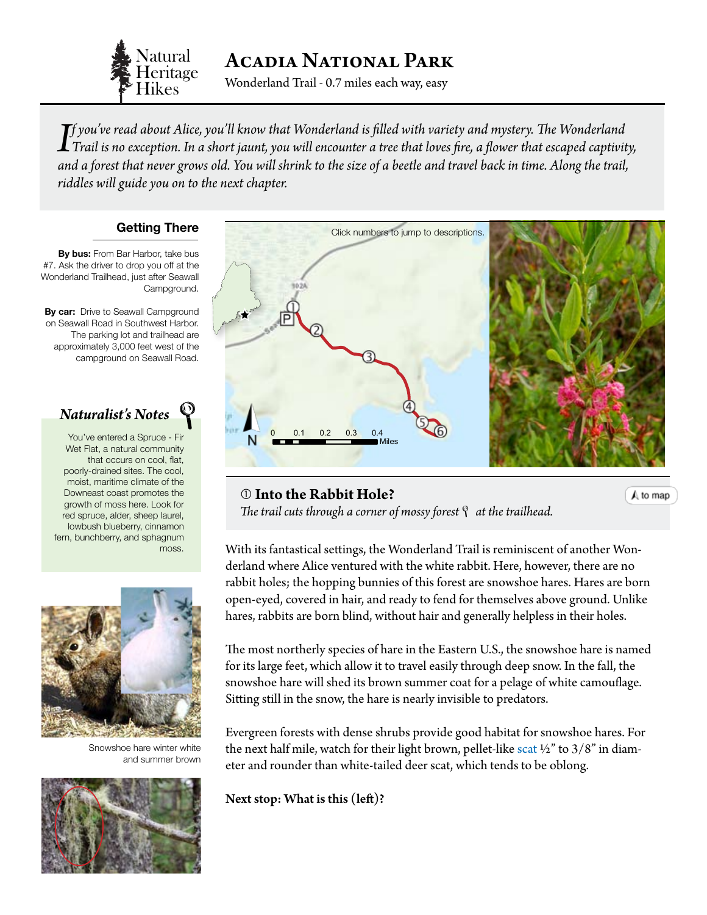

Acadia National Park

Wonderland Trail - 0.7 miles each way, easy

*If you've read about Alice, you'll know that Wonderland is filled with variety and mystery. The Wonderland*<br>Trail is no exception. In a short jaunt, you will encounter a tree that loves fire, a flower that escaped captivi *f you've read about Alice, you'll know that Wonderland is filled with variety and mystery. The Wonderland and a forest that never grows old. You will shrink to the size of a beetle and travel back in time. Along the trail, riddles will guide you on to the next chapter.*

# **Getting There**

**By bus:** From Bar Harbor, take bus #7. Ask the driver to drop you off at the Wonderland Trailhead, just after Seawall Campground.

**By car:** Drive to Seawall Campground on Seawall Road in Southwest Harbor. The parking lot and trailhead are approximately 3,000 feet west of the campground on Seawall Road.

# ± *Naturalist's Notes*

fern, bunchberry, and sphagnum You've entered a Spruce - Fir Wet Flat, a natural community that occurs on cool, flat, poorly-drained sites. The cool, moist, maritime climate of the Downeast coast promotes the growth of moss here. Look for red spruce, alder, sheep laurel, lowbush blueberry, cinnamon moss.



Snowshoe hare winter white and summer brown



<span id="page-0-0"></span>

# **Into the Rabbit Hole?**

 $A$  to map

*The trail cuts through a corner of mossy forest at the trailhead.*

With its fantastical settings, the Wonderland Trail is reminiscent of another Wonderland where Alice ventured with the white rabbit. Here, however, there are no rabbit holes; the hopping bunnies of this forest are snowshoe hares. Hares are born open-eyed, covered in hair, and ready to fend for themselves above ground. Unlike hares, rabbits are born blind, without hair and generally helpless in their holes.

The most northerly species of hare in the Eastern U.S., the snowshoe hare is named for its large feet, which allow it to travel easily through deep snow. In the fall, the snowshoe hare will shed its brown summer coat for a pelage of white camouflage. Sitting still in the snow, the hare is nearly invisible to predators.

Evergreen forests with dense shrubs provide good habitat for snowshoe hares. For the next half mile, watch for their light brown, pellet-like [scat](#page-3-0)  $\frac{1}{2}$  to 3/8" in diameter and rounder than white-tailed deer scat, which tends to be oblong.

Next stop: What is this (left)?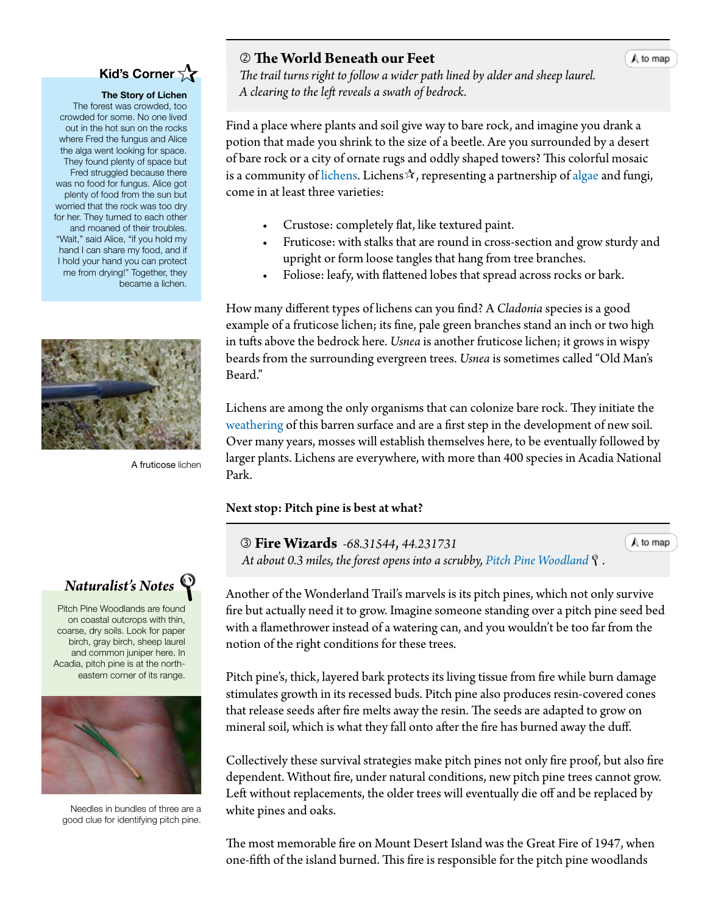# **Kid's Corner**

#### **The Story of Lichen**

The forest was crowded, too crowded for some. No one lived out in the hot sun on the rocks where Fred the fungus and Alice the alga went looking for space. They found plenty of space but Fred struggled because there was no food for fungus. Alice got plenty of food from the sun but worried that the rock was too dry for her. They turned to each other and moaned of their troubles. "Wait," said Alice, "if you hold my hand I can share my food, and if I hold your hand you can protect me from drying!" Together, they became a lichen.



A fruticose lichen



Pitch Pine Woodlands are found on coastal outcrops with thin, coarse, dry soils. Look for paper birch, gray birch, sheep laurel and common juniper here. In Acadia, pitch pine is at the northeastern corner of its range.



Needles in bundles of three are a good clue for identifying pitch pine.

#### **The World Beneath our Feet**

 *The trail turns right to follow a wider path lined by alder and sheep laurel. A clearing to the left reveals a swath of bedrock.*

Find a place where plants and soil give way to bare rock, and imagine you drank a potion that made you shrink to the size of a beetle. Are you surrounded by a desert of bare rock or a city of ornate rugs and oddly shaped towers? This colorful mosaic is a community of [lichens.](#page-3-0) Lichens $\mathcal{A}$ , representing a partnership of [algae](#page-3-0) and fungi, come in at least three varieties:

- Crustose: completely flat, like textured paint.
- Fruticose: with stalks that are round in cross-section and grow sturdy and upright or form loose tangles that hang from tree branches.
- Foliose: leafy, with flattened lobes that spread across rocks or bark.

How many different types of lichens can you find? A *Cladonia* species is a good example of a fruticose lichen; its fine, pale green branches stand an inch or two high in tufts above the bedrock here. *Usnea* is another fruticose lichen; it grows in wispy beards from the surrounding evergreen trees. *Usnea* is sometimes called "Old Man's Beard."

Lichens are among the only organisms that can colonize bare rock. They initiate the [weathering](#page-3-0) of this barren surface and are a first step in the development of new soil. Over many years, mosses will establish themselves here, to be eventually followed by larger plants. Lichens are everywhere, with more than 400 species in Acadia National Park.

### Next stop: Pitch pine is best at what?

 **Fire Wizards** *-68.31544*, *44.231731 At about 0.3 miles, the forest opens into a scrubby, [Pitch Pine Woodland](http://www.maine.gov/dacf/mnap/features/communities/pitchpinewoodland.htm)*  $\mathcal{P}$ [.](#page-0-0)  $A$  to map

Another of the Wonderland Trail's marvels is its pitch pines, which not only survive fire but actually need it to grow. Imagine someone standing over a pitch pine seed bed with a flamethrower instead of a watering can, and you wouldn't be too far from the notion of the right conditions for these trees.

Pitch pine's, thick, layered bark protects its living tissue from fire while burn damage stimulates growth in its recessed buds. Pitch pine also produces resin-covered cones that release seeds after fire melts away the resin. The seeds are adapted to grow on mineral soil, which is what they fall onto after the fire has burned away the duff.

Collectively these survival strategies make pitch pines not only fire proof, but also fire dependent. Without fire, under natural conditions, new pitch pine trees cannot grow. Left without replacements, the older trees will eventually die off and be replaced by white pines and oaks.

The most memorable fire on Mount Desert Island was the Great Fire of 1947, when one-fifth of the island burned. This fire is responsible for the pitch pine woodlands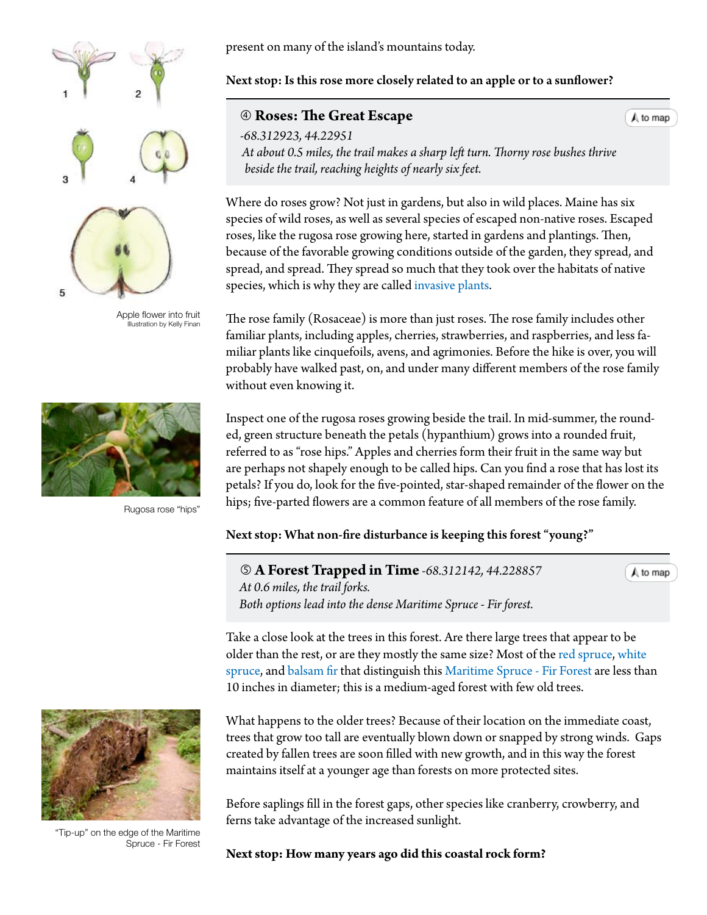

Apple flower into fruit Illustration by Kelly Finan



Rugosa rose "hips"



"Tip-up" on the edge of the Maritime Spruce - Fir Forest

present on many of the island's mountains today.

# Next stop: Is this rose more closely related to an apple or to a sunflower?

# **Roses: The Great Escape**

*-68.312923, 44.22951 At about 0.5 miles, the trail makes a sharp left turn. Thorny rose bushes thrive beside the trail, reaching heights of nearly six feet.*

Where do roses grow? Not just in gardens, but also in wild places. Maine has six species of wild roses, as well as several species of escaped non-native roses. Escaped roses, like the rugosa rose growing here, started in gardens and plantings. Then, because of the favorable growing conditions outside of the garden, they spread, and spread, and spread. They spread so much that they took over the habitats of native species, which is why they are called [invasive plants.](#page-3-0)

The rose family (Rosaceae) is more than just roses. The rose family includes other familiar plants, including apples, cherries, strawberries, and raspberries, and less familiar plants like cinquefoils, avens, and agrimonies. Before the hike is over, you will probably have walked past, on, and under many different members of the rose family without even knowing it.

Inspect one of the rugosa roses growing beside the trail. In mid-summer, the rounded, green structure beneath the petals (hypanthium) grows into a rounded fruit, referred to as "rose hips." Apples and cherries form their fruit in the same way but are perhaps not shapely enough to be called hips. Can you find a rose that has lost its petals? If you do, look for the five-pointed, star-shaped remainder of the flower on the hips; five-parted flowers are a common feature of all members of the rose family.

## Next stop: What non-fire disturbance is keeping this forest "young?"

 **A Forest Trapped in Time** *-68.312142, 44.228857 At 0.6 miles, the trail forks. Both options lead into the dense Maritime Spruce - Fir forest.*

 $A$  to map

 $A$  to map

Take a close look at the trees in this forest. Are there large trees that appear to be older than the rest, or are they mostly the same size? Most of the [red spruce](http://dendro.cnre.vt.edu/dendrology/syllabus/factsheet.cfm?ID=137), [white](http://dendro.cnre.vt.edu/dendrology/syllabus/factsheet.cfm?ID=103)  [spruce](http://dendro.cnre.vt.edu/dendrology/syllabus/factsheet.cfm?ID=103), and [balsam fir](http://dendro.cnre.vt.edu/dendrology/syllabus/factsheet.cfm?ID=119) that distinguish this [Maritime Spruce - Fir Forest](http://www.maine.gov/dacf/mnap/features/communities/maritimesprucefirforest.htm) are less than 10 inches in diameter; this is a medium-aged forest with few old trees.

What happens to the older trees? Because of their location on the immediate coast, trees that grow too tall are eventually blown down or snapped by strong winds. Gaps created by fallen trees are soon filled with new growth, and in this way the forest maintains itself at a younger age than forests on more protected sites.

Before saplings fill in the forest gaps, other species like cranberry, crowberry, and ferns take advantage of the increased sunlight.

**Next stop: How many years ago did this coastal rock form?**